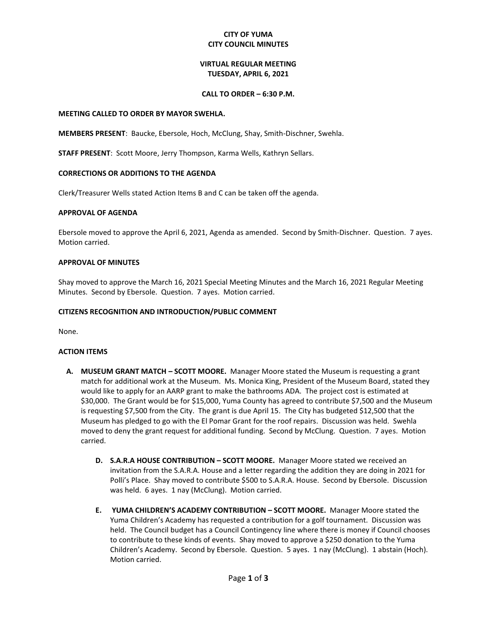## **CITY OF YUMA CITY COUNCIL MINUTES**

## **VIRTUAL REGULAR MEETING TUESDAY, APRIL 6, 2021**

### **CALL TO ORDER – 6:30 P.M.**

### **MEETING CALLED TO ORDER BY MAYOR SWEHLA.**

**MEMBERS PRESENT**: Baucke, Ebersole, Hoch, McClung, Shay, Smith-Dischner, Swehla.

**STAFF PRESENT**: Scott Moore, Jerry Thompson, Karma Wells, Kathryn Sellars.

## **CORRECTIONS OR ADDITIONS TO THE AGENDA**

Clerk/Treasurer Wells stated Action Items B and C can be taken off the agenda.

### **APPROVAL OF AGENDA**

Ebersole moved to approve the April 6, 2021, Agenda as amended. Second by Smith-Dischner. Question. 7 ayes. Motion carried.

### **APPROVAL OF MINUTES**

Shay moved to approve the March 16, 2021 Special Meeting Minutes and the March 16, 2021 Regular Meeting Minutes. Second by Ebersole. Question. 7 ayes. Motion carried.

### **CITIZENS RECOGNITION AND INTRODUCTION/PUBLIC COMMENT**

None.

#### **ACTION ITEMS**

- **A. MUSEUM GRANT MATCH – SCOTT MOORE.** Manager Moore stated the Museum is requesting a grant match for additional work at the Museum. Ms. Monica King, President of the Museum Board, stated they would like to apply for an AARP grant to make the bathrooms ADA. The project cost is estimated at \$30,000. The Grant would be for \$15,000, Yuma County has agreed to contribute \$7,500 and the Museum is requesting \$7,500 from the City. The grant is due April 15. The City has budgeted \$12,500 that the Museum has pledged to go with the El Pomar Grant for the roof repairs. Discussion was held. Swehla moved to deny the grant request for additional funding. Second by McClung. Question. 7 ayes. Motion carried.
	- **D. S.A.R.A HOUSE CONTRIBUTION – SCOTT MOORE.** Manager Moore stated we received an invitation from the S.A.R.A. House and a letter regarding the addition they are doing in 2021 for Polli's Place. Shay moved to contribute \$500 to S.A.R.A. House. Second by Ebersole. Discussion was held. 6 ayes. 1 nay (McClung). Motion carried.
	- **E. YUMA CHILDREN'S ACADEMY CONTRIBUTION – SCOTT MOORE.** Manager Moore stated the Yuma Children's Academy has requested a contribution for a golf tournament. Discussion was held. The Council budget has a Council Contingency line where there is money if Council chooses to contribute to these kinds of events. Shay moved to approve a \$250 donation to the Yuma Children's Academy. Second by Ebersole. Question. 5 ayes. 1 nay (McClung). 1 abstain (Hoch). Motion carried.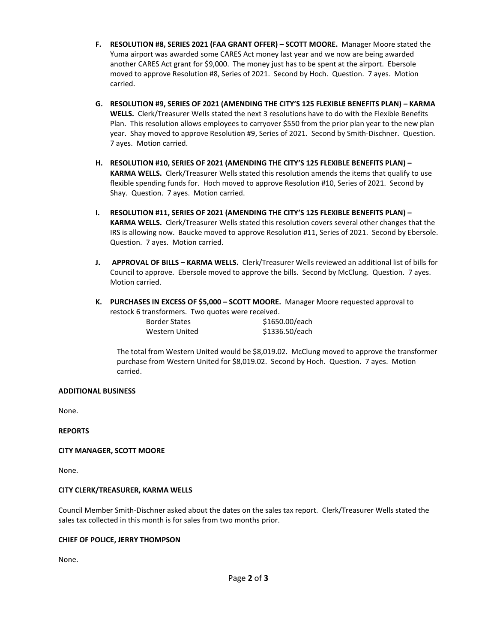- **F. RESOLUTION #8, SERIES 2021 (FAA GRANT OFFER) – SCOTT MOORE.** Manager Moore stated the Yuma airport was awarded some CARES Act money last year and we now are being awarded another CARES Act grant for \$9,000. The money just has to be spent at the airport. Ebersole moved to approve Resolution #8, Series of 2021. Second by Hoch. Question. 7 ayes. Motion carried.
- **G. RESOLUTION #9, SERIES OF 2021 (AMENDING THE CITY'S 125 FLEXIBLE BENEFITS PLAN) – KARMA WELLS.** Clerk/Treasurer Wells stated the next 3 resolutions have to do with the Flexible Benefits Plan. This resolution allows employees to carryover \$550 from the prior plan year to the new plan year.Shay moved to approve Resolution #9, Series of 2021. Second by Smith-Dischner. Question. 7 ayes. Motion carried.
- **H. RESOLUTION #10, SERIES OF 2021 (AMENDING THE CITY'S 125 FLEXIBLE BENEFITS PLAN) – KARMA WELLS.** Clerk/Treasurer Wells stated this resolution amends the items that qualify to use flexible spending funds for. Hoch moved to approve Resolution #10, Series of 2021. Second by Shay. Question. 7 ayes. Motion carried.
- **I. RESOLUTION #11, SERIES OF 2021 (AMENDING THE CITY'S 125 FLEXIBLE BENEFITS PLAN) – KARMA WELLS.** Clerk/Treasurer Wells stated this resolution covers several other changes that the IRS is allowing now. Baucke moved to approve Resolution #11, Series of 2021. Second by Ebersole. Question. 7 ayes. Motion carried.
- **J. APPROVAL OF BILLS – KARMA WELLS.** Clerk/Treasurer Wells reviewed an additional list of bills for Council to approve. Ebersole moved to approve the bills. Second by McClung. Question. 7 ayes. Motion carried.
- **K. PURCHASES IN EXCESS OF \$5,000 – SCOTT MOORE.** Manager Moore requested approval to restock 6 transformers. Two quotes were received.

| <b>Border States</b> | \$1650.00/each |
|----------------------|----------------|
| Western United       | \$1336.50/each |

The total from Western United would be \$8,019.02. McClung moved to approve the transformer purchase from Western United for \$8,019.02. Second by Hoch. Question. 7 ayes. Motion carried.

# **ADDITIONAL BUSINESS**

None.

**REPORTS**

## **CITY MANAGER, SCOTT MOORE**

None.

## **CITY CLERK/TREASURER, KARMA WELLS**

Council Member Smith-Dischner asked about the dates on the sales tax report. Clerk/Treasurer Wells stated the sales tax collected in this month is for sales from two months prior.

## **CHIEF OF POLICE, JERRY THOMPSON**

None.